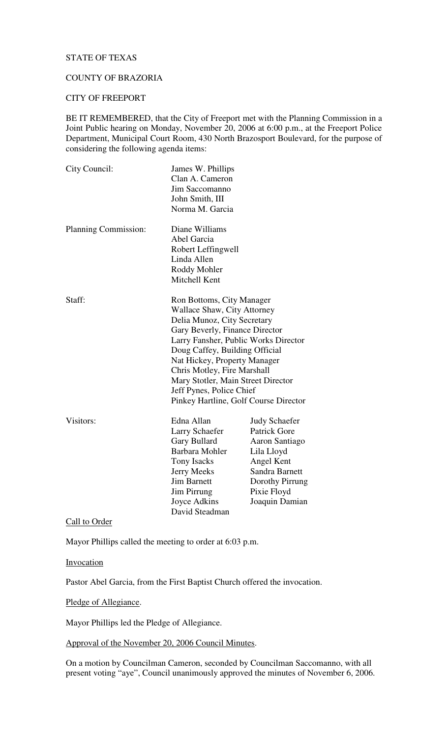# STATE OF TEXAS

# COUNTY OF BRAZORIA

### CITY OF FREEPORT

BE IT REMEMBERED, that the City of Freeport met with the Planning Commission in a Joint Public hearing on Monday, November 20, 2006 at 6:00 p.m., at the Freeport Police Department, Municipal Court Room, 430 North Brazosport Boulevard, for the purpose of considering the following agenda items:

| City Council:        | James W. Phillips<br>Clan A. Cameron  |                      |
|----------------------|---------------------------------------|----------------------|
|                      | Jim Saccomanno                        |                      |
|                      | John Smith, III                       |                      |
|                      | Norma M. Garcia                       |                      |
| Planning Commission: | Diane Williams                        |                      |
|                      | Abel Garcia                           |                      |
|                      | Robert Leffingwell                    |                      |
|                      | Linda Allen                           |                      |
|                      | Roddy Mohler                          |                      |
|                      | Mitchell Kent                         |                      |
| Staff:               | Ron Bottoms, City Manager             |                      |
|                      | <b>Wallace Shaw, City Attorney</b>    |                      |
|                      | Delia Munoz, City Secretary           |                      |
|                      | Gary Beverly, Finance Director        |                      |
|                      | Larry Fansher, Public Works Director  |                      |
|                      | Doug Caffey, Building Official        |                      |
|                      | Nat Hickey, Property Manager          |                      |
|                      | Chris Motley, Fire Marshall           |                      |
|                      | Mary Stotler, Main Street Director    |                      |
|                      | Jeff Pynes, Police Chief              |                      |
|                      | Pinkey Hartline, Golf Course Director |                      |
| Visitors:            | Edna Allan                            | <b>Judy Schaefer</b> |
|                      | Larry Schaefer                        | <b>Patrick Gore</b>  |
|                      | Gary Bullard                          | Aaron Santiago       |
|                      | Barbara Mohler                        | Lila Lloyd           |
|                      | Tony Isacks                           | Angel Kent           |
|                      | Jerry Meeks                           | Sandra Barnett       |
|                      | <b>Jim Barnett</b>                    | Dorothy Pirrung      |
|                      | <b>Jim Pirrung</b>                    | Pixie Floyd          |
|                      | Joyce Adkins                          | Joaquin Damian       |
|                      | David Steadman                        |                      |

Call to Order

Mayor Phillips called the meeting to order at 6:03 p.m.

Invocation

Pastor Abel Garcia, from the First Baptist Church offered the invocation.

Pledge of Allegiance.

Mayor Phillips led the Pledge of Allegiance.

Approval of the November 20, 2006 Council Minutes.

On a motion by Councilman Cameron, seconded by Councilman Saccomanno, with all present voting "aye", Council unanimously approved the minutes of November 6, 2006.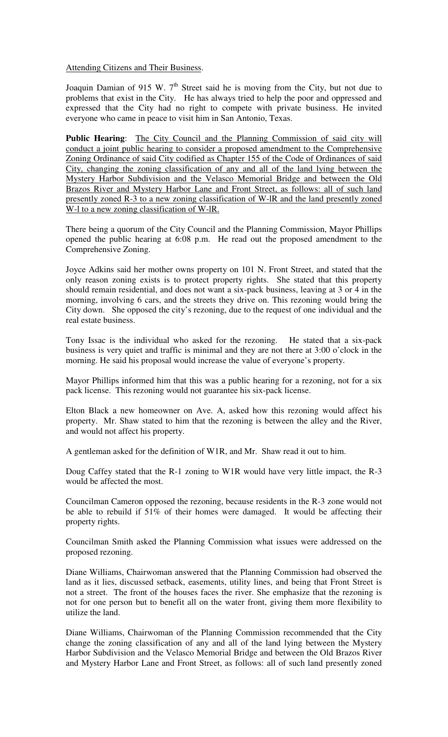# Attending Citizens and Their Business.

Joaquin Damian of 915 W.  $7<sup>th</sup>$  Street said he is moving from the City, but not due to problems that exist in the City. He has always tried to help the poor and oppressed and expressed that the City had no right to compete with private business. He invited everyone who came in peace to visit him in San Antonio, Texas.

**Public Hearing**: The City Council and the Planning Commission of said city will conduct a joint public hearing to consider a proposed amendment to the Comprehensive Zoning Ordinance of said City codified as Chapter 155 of the Code of Ordinances of said City, changing the zoning classification of any and all of the land lying between the Mystery Harbor Subdivision and the Velasco Memorial Bridge and between the Old Brazos River and Mystery Harbor Lane and Front Street, as follows: all of such land presently zoned R-3 to a new zoning classification of W-lR and the land presently zoned W-l to a new zoning classification of W-IR.

There being a quorum of the City Council and the Planning Commission, Mayor Phillips opened the public hearing at 6:08 p.m. He read out the proposed amendment to the Comprehensive Zoning.

Joyce Adkins said her mother owns property on 101 N. Front Street, and stated that the only reason zoning exists is to protect property rights. She stated that this property should remain residential, and does not want a six-pack business, leaving at 3 or 4 in the morning, involving 6 cars, and the streets they drive on. This rezoning would bring the City down. She opposed the city's rezoning, due to the request of one individual and the real estate business.

Tony Issac is the individual who asked for the rezoning. He stated that a six-pack business is very quiet and traffic is minimal and they are not there at 3:00 o'clock in the morning. He said his proposal would increase the value of everyone's property.

Mayor Phillips informed him that this was a public hearing for a rezoning, not for a six pack license. This rezoning would not guarantee his six-pack license.

Elton Black a new homeowner on Ave. A, asked how this rezoning would affect his property. Mr. Shaw stated to him that the rezoning is between the alley and the River, and would not affect his property.

A gentleman asked for the definition of W1R, and Mr. Shaw read it out to him.

Doug Caffey stated that the R-1 zoning to W1R would have very little impact, the R-3 would be affected the most.

Councilman Cameron opposed the rezoning, because residents in the R-3 zone would not be able to rebuild if 51% of their homes were damaged. It would be affecting their property rights.

Councilman Smith asked the Planning Commission what issues were addressed on the proposed rezoning.

Diane Williams, Chairwoman answered that the Planning Commission had observed the land as it lies, discussed setback, easements, utility lines, and being that Front Street is not a street. The front of the houses faces the river. She emphasize that the rezoning is not for one person but to benefit all on the water front, giving them more flexibility to utilize the land.

Diane Williams, Chairwoman of the Planning Commission recommended that the City change the zoning classification of any and all of the land lying between the Mystery Harbor Subdivision and the Velasco Memorial Bridge and between the Old Brazos River and Mystery Harbor Lane and Front Street, as follows: all of such land presently zoned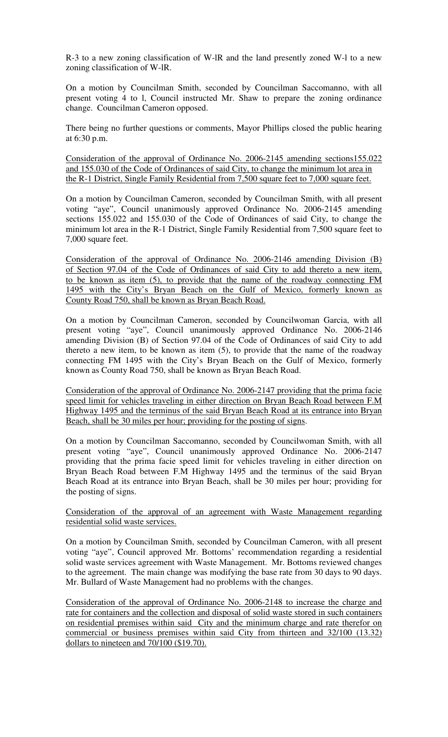R-3 to a new zoning classification of W-lR and the land presently zoned W-l to a new zoning classification of W-lR.

On a motion by Councilman Smith, seconded by Councilman Saccomanno, with all present voting 4 to l, Council instructed Mr. Shaw to prepare the zoning ordinance change. Councilman Cameron opposed.

There being no further questions or comments, Mayor Phillips closed the public hearing at 6:30 p.m.

Consideration of the approval of Ordinance No. 2006-2145 amending sections155.022 and 155.030 of the Code of Ordinances of said City, to change the minimum lot area in the R-1 District, Single Family Residential from 7,500 square feet to 7,000 square feet.

On a motion by Councilman Cameron, seconded by Councilman Smith, with all present voting "aye", Council unanimously approved Ordinance No. 2006-2145 amending sections 155.022 and 155.030 of the Code of Ordinances of said City, to change the minimum lot area in the R-1 District, Single Family Residential from 7,500 square feet to 7,000 square feet.

Consideration of the approval of Ordinance No. 2006-2146 amending Division (B) of Section 97.04 of the Code of Ordinances of said City to add thereto a new item, to be known as item (5), to provide that the name of the roadway connecting FM 1495 with the City's Bryan Beach on the Gulf of Mexico, formerly known as County Road 750, shall be known as Bryan Beach Road.

On a motion by Councilman Cameron, seconded by Councilwoman Garcia, with all present voting "aye", Council unanimously approved Ordinance No. 2006-2146 amending Division (B) of Section 97.04 of the Code of Ordinances of said City to add thereto a new item, to be known as item (5), to provide that the name of the roadway connecting FM 1495 with the City's Bryan Beach on the Gulf of Mexico, formerly known as County Road 750, shall be known as Bryan Beach Road.

Consideration of the approval of Ordinance No. 2006-2147 providing that the prima facie speed limit for vehicles traveling in either direction on Bryan Beach Road between F.M Highway 1495 and the terminus of the said Bryan Beach Road at its entrance into Bryan Beach, shall be 30 miles per hour; providing for the posting of signs.

On a motion by Councilman Saccomanno, seconded by Councilwoman Smith, with all present voting "aye", Council unanimously approved Ordinance No. 2006-2147 providing that the prima facie speed limit for vehicles traveling in either direction on Bryan Beach Road between F.M Highway 1495 and the terminus of the said Bryan Beach Road at its entrance into Bryan Beach, shall be 30 miles per hour; providing for the posting of signs.

## Consideration of the approval of an agreement with Waste Management regarding residential solid waste services.

On a motion by Councilman Smith, seconded by Councilman Cameron, with all present voting "aye", Council approved Mr. Bottoms' recommendation regarding a residential solid waste services agreement with Waste Management. Mr. Bottoms reviewed changes to the agreement. The main change was modifying the base rate from 30 days to 90 days. Mr. Bullard of Waste Management had no problems with the changes.

Consideration of the approval of Ordinance No. 2006-2148 to increase the charge and rate for containers and the collection and disposal of solid waste stored in such containers on residential premises within said City and the minimum charge and rate therefor on commercial or business premises within said City from thirteen and 32/100 (13.32) dollars to nineteen and 70/100 (\$19.70).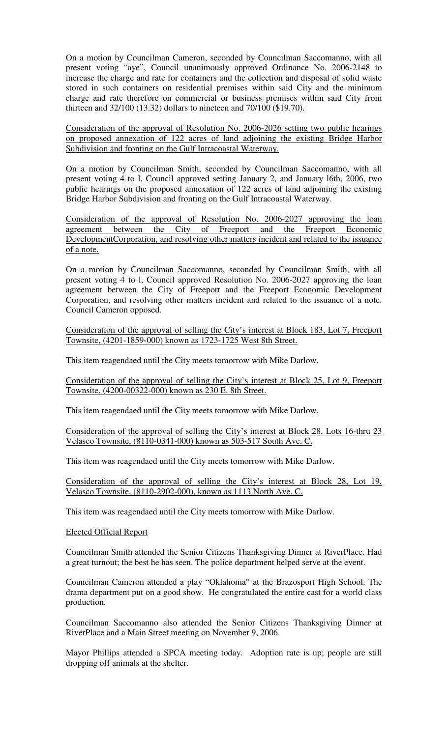On a motion by Councilman Cameron, seconded by Councilman Saccomanno, with all present voting "aye", Council unanimously approved Ordinance No. 2006-2148 to increase the charge and rate for containers and the collection and disposal of solid waste stored in such containers on residential premises within said City and the minimum charge and rate therefore on commercial or business premises within said City from thirteen and 32/100 (13.32) dollars to nineteen and 70/100 (\$19.70).

Consideration of the approval of Resolution No. 2006-2026 setting two public hearings on proposed annexation of 122 acres of land adjoining the existing Bridge Harbor Subdivision and fronting on the Gulf Intracoastal Waterway.

On a motion by Councilman Smith, seconded by Councilman Saccomanno, with all present voting 4 to l, Council approved setting January 2, and January l6th, 2006, two public hearings on the proposed annexation of 122 acres of land adjoining the existing Bridge Harbor Subdivision and fronting on the Gulf Intracoastal Waterway.

Consideration of the approval of Resolution No. 2006-2027 approving the loan agreement between the City of Freeport and the Freeport Economic DevelopmentCorporation, and resolving other matters incident and related to the issuance of a note.

On a motion by Councilman Saccomanno, seconded by Councilman Smith, with all present voting 4 to l, Council approved Resolution No. 2006-2027 approving the loan agreement between the City of Freeport and the Freeport Economic Development Corporation, and resolving other matters incident and related to the issuance of a note. Council Cameron opposed.

Consideration of the approval of selling the City's interest at Block 183, Lot 7, Freeport Townsite, (4201-1859-000) known as 1723-1725 West 8th Street.

This item reagendaed until the City meets tomorrow with Mike Darlow.

Consideration of the approval of selling the City's interest at Block 25, Lot 9, Freeport Townsite, (4200-00322-000) known as 230 E. 8th Street.

This item reagendaed until the City meets tomorrow with Mike Darlow.

Consideration of the approval of selling the City's interest at Block 28, Lots 16-thru 23 Velasco Townsite, (8110-0341-000) known as 503-517 South Ave. C.

This item was reagendaed until the City meets tomorrow with Mike Darlow.

Consideration of the approval of selling the City's interest at Block 28, Lot 19, Velasco Townsite, (8110-2902-000), known as 1113 North Ave. C.

This item was reagendaed until the City meets tomorrow with Mike Darlow.

## Elected Official Report

Councilman Smith attended the Senior Citizens Thanksgiving Dinner at RiverPlace. Had a great turnout; the best he has seen. The police department helped serve at the event.

Councilman Cameron attended a play "Oklahoma" at the Brazosport High School. The drama department put on a good show. He congratulated the entire cast for a world class production.

Councilman Saccomanno also attended the Senior Citizens Thanksgiving Dinner at RiverPlace and a Main Street meeting on November 9, 2006.

Mayor Phillips attended a SPCA meeting today. Adoption rate is up; people are still dropping off animals at the shelter.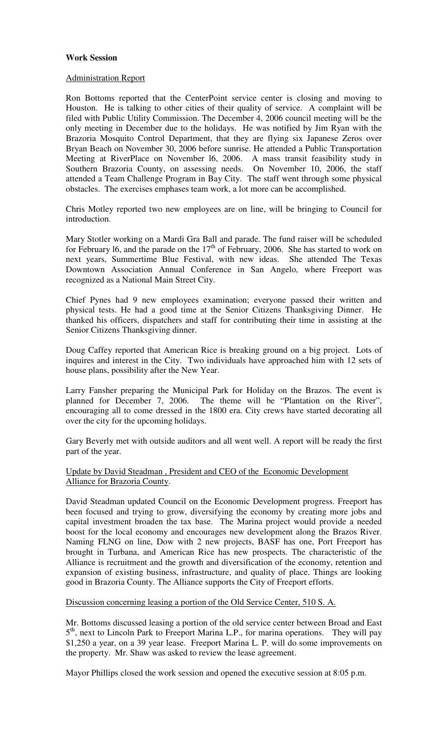### **Work Session**

### Administration Report

Ron Bottoms reported that the CenterPoint service center is closing and moving to Houston. He is talking to other cities of their quality of service. A complaint will be filed with Public Utility Commission. The December 4, 2006 council meeting will be the only meeting in December due to the holidays. He was notified by Jim Ryan with the Brazoria Mosquito Control Department, that they are flying six Japanese Zeros over Bryan Beach on November 30, 2006 before sunrise. He attended a Public Transportation Meeting at RiverPlace on November l6, 2006. A mass transit feasibility study in Southern Brazoria County, on assessing needs. On November 10, 2006, the staff attended a Team Challenge Program in Bay City. The staff went through some physical obstacles. The exercises emphases team work, a lot more can be accomplished.

Chris Motley reported two new employees are on line, will be bringing to Council for introduction.

Mary Stotler working on a Mardi Gra Ball and parade. The fund raiser will be scheduled for February 16, and the parade on the  $17<sup>th</sup>$  of February, 2006. She has started to work on next years, Summertime Blue Festival, with new ideas. She attended The Texas Downtown Association Annual Conference in San Angelo, where Freeport was recognized as a National Main Street City.

Chief Pynes had 9 new employees examination; everyone passed their written and physical tests. He had a good time at the Senior Citizens Thanksgiving Dinner. He thanked his officers, dispatchers and staff for contributing their time in assisting at the Senior Citizens Thanksgiving dinner.

Doug Caffey reported that American Rice is breaking ground on a big project. Lots of inquires and interest in the City. Two individuals have approached him with 12 sets of house plans, possibility after the New Year.

Larry Fansher preparing the Municipal Park for Holiday on the Brazos. The event is planned for December 7, 2006. The theme will be "Plantation on the River", encouraging all to come dressed in the 1800 era. City crews have started decorating all over the city for the upcoming holidays.

Gary Beverly met with outside auditors and all went well. A report will be ready the first part of the year.

Update by David Steadman , President and CEO of the Economic Development Alliance for Brazoria County.

David Steadman updated Council on the Economic Development progress. Freeport has been focused and trying to grow, diversifying the economy by creating more jobs and capital investment broaden the tax base. The Marina project would provide a needed boost for the local economy and encourages new development along the Brazos River. Naming FLNG on line, Dow with 2 new projects, BASF has one, Port Freeport has brought in Turbana, and American Rice has new prospects. The characteristic of the Alliance is recruitment and the growth and diversification of the economy, retention and expansion of existing business, infrastructure, and quality of place. Things are looking good in Brazoria County. The Alliance supports the City of Freeport efforts.

### Discussion concerning leasing a portion of the Old Service Center, 510 S. A.

Mr. Bottoms discussed leasing a portion of the old service center between Broad and East 5<sup>th</sup>, next to Lincoln Park to Freeport Marina L.P., for marina operations. They will pay \$1,250 a year, on a 39 year lease. Freeport Marina L. P. will do some improvements on the property. Mr. Shaw was asked to review the lease agreement.

Mayor Phillips closed the work session and opened the executive session at 8:05 p.m.